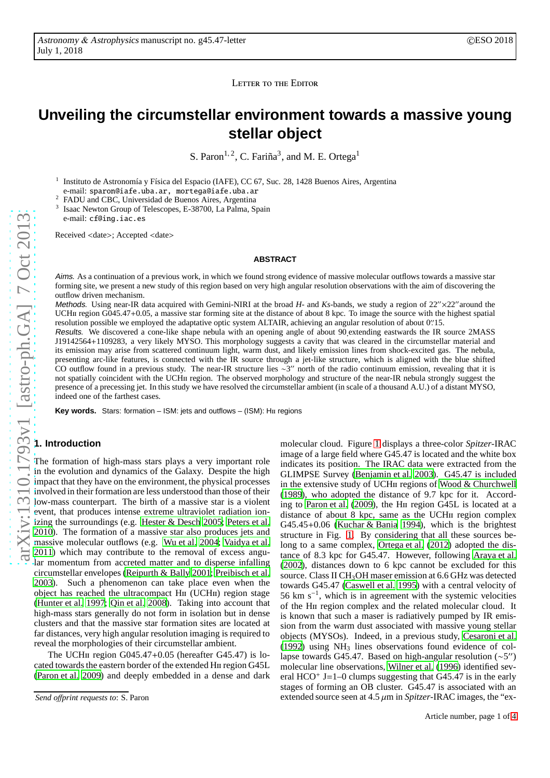LETTER TO THE EDITOR

# **Unveiling the circumstellar environment towards a massive young stellar object**

S. Paron<sup>1, 2</sup>, C. Fariña<sup>3</sup>, and M. E. Ortega<sup>1</sup>

1 Instituto de Astronomía y Física del Espacio (IAFE), CC 67, Suc. 28, 1428 Buenos Aires, Argentina e-mail: sparon@iafe.uba.ar, mortega@iafe.uba.ar

<sup>2</sup> FADU and CBC, Universidad de Buenos Aires, Argentina 3 Isaac Newton Group of Telescopes, E-38700, La Palma, Spain e-mail: cf@ing.iac.es

Received <date>; Accepted <date>

#### **ABSTRACT**

Aims. As a continuation of a previous work, in which we found strong evidence of massive molecular outflows towards a massive star forming site, we present a new study of this region based on very high angular resolution observations with the aim of discovering the outflow driven mechanism.

Methods. Using near-IR data acquired with Gemini-NIRI at the broad *H*- and *Ks*-bands, we study a region of 22"×22" around the UCHII region G045.47+0.05, a massive star forming site at the distance of about 8 kpc. To image the source with the highest spatial resolution possible we employed the adaptative optic system ALTAIR, achieving an angular resolution of about 0′′ .15.

Results. We discovered a cone-like shape nebula with an opening angle of about 90.extending eastwards the IR source 2MASS J19142564+1109283, a very likely MYSO. This morphology suggests a cavity that was cleared in the circumstellar material and its emission may arise from scattered continuum light, warm dust, and likely emission lines from shock-excited gas. The nebula, presenting arc-like features, is connected with the IR source through a jet-like structure, which is aligned with the blue shifted CO outflow found in a previous study. The near-IR structure lies ∼3 CO outflow found in a previous study. The near-IR structure lies  $\sim 3''$  north of the radio continuum emission, revealing that it is not spatially coincident with the UCHii region. The observed morphology and structure of the near-IR nebula strongly suggest the presence of a precessing jet. In this study we have resolved the circumstellar ambient (in scale of a thousand A.U.) of a distant MYSO, indeed one of the farthest cases.

Key words. Stars: formation - ISM: jets and outflows - (ISM): HII regions

## **1. Introduction**

The formation of high-mass stars plays a very important role in the evolution and dynamics of the Galaxy. Despite the high impact that they have on the environment, the physical processes involved in their formation are less understood than those of their low-mass counterpart. The birth of a massive star is a violent event, that produces intense extreme ultraviolet radiation ionizing the surroundings (e.g. [Hester & Desch 2005;](#page-3-0) [Peters et al.](#page-3-1) [2010\)](#page-3-1). The formation of a massive star also produces jets and massive molecular outflows (e.g. [Wu et al. 2004](#page-3-2); [Vaidya et al.](#page-3-3) [2011\)](#page-3-3) which may contribute to the removal of excess angular momentum from accreted matter and to disperse infalling circumstellar envelopes [\(Reipurth & Bally 2001;](#page-3-4) [Preibisch](#page-3-5) et al. [2003\)](#page-3-5). Such a phenomenon can take place even when the object has reached the ultracompact H<sub>II</sub> (UCH<sub>II</sub>) region stage [\(Hunter et al. 1997;](#page-3-6) [Qin et al. 2008](#page-3-7)). Taking into account that high-mass stars generally do not form in isolation but in dense clusters and that the massive star formation sites are located at far distances, very high angular resolution imaging is required to reveal the morphologies of their circumstellar ambient.

The UCH $\mu$  region G045.47+0.05 (hereafter G45.47) is located towards the eastern border of the extended Hii region G45L [\(Paron et al. 2009\)](#page-3-8) and deeply embedded in a dense and dark

molecular cloud. Figure [1](#page-1-0) displays a three-color *Spitzer*-IRAC image of a large field where G45.47 is located and the white box indicates its position. The IRAC data were extracted from the GLIMPSE Survey [\(Benjamin et al. 2003\)](#page-3-9). G45.47 is included in the extensive study of UCH $\pi$  regions of [Wood & Churchwell](#page-3-10) [\(1989\)](#page-3-10), who adopted the distance of 9.7 kpc for it. According to [Paron et al. \(2009](#page-3-8)), the Hii region G45L is located at a distance of about 8 kpc, same as the UCH<sub>II</sub> region complex G45.45+0.06 [\(Kuchar & Bania 1994\)](#page-3-11), which is the brightest structure in Fig. [1.](#page-1-0) By considering that all these sources belong to a same complex, [Ortega et al. \(2012](#page-3-12)) adopted the distance of 8.3 kpc for G45.47. However, following [Araya et al.](#page-3-13) [\(2002\)](#page-3-13), distances down to 6 kpc cannot be excluded for this source. Class II CH<sub>3</sub>OH maser emission at 6.6 GHz was detected towards G45.47 [\(Caswell et al. 1995\)](#page-3-14) with a central velocity of 56 km s<sup>−</sup><sup>1</sup> , which is in agreement with the systemic velocities of the Hii region complex and the related molecular cloud. It is known that such a maser is radiatively pumped by IR emission from the warm dust associated with massive young stellar objects (MYSOs). Indeed, in a previous study, [Cesaroni et al.](#page-3-15)  $(1992)$  using NH<sub>3</sub> lines observations found evidence of collapse towards G45.47. Based on high-angular resolution (~5") molecular line observations, [Wilner et al. \(1996](#page-3-16)) identified several  $HCO<sup>+</sup>$  J=1–0 clumps suggesting that G45.47 is in the early stages of forming an OB cluster. G45.47 is associated with an extended source seen at  $4.5 \mu m$  in *Spitzer*-IRAC images, the "ex-

*Send o*ff*print requests to*: S. Paron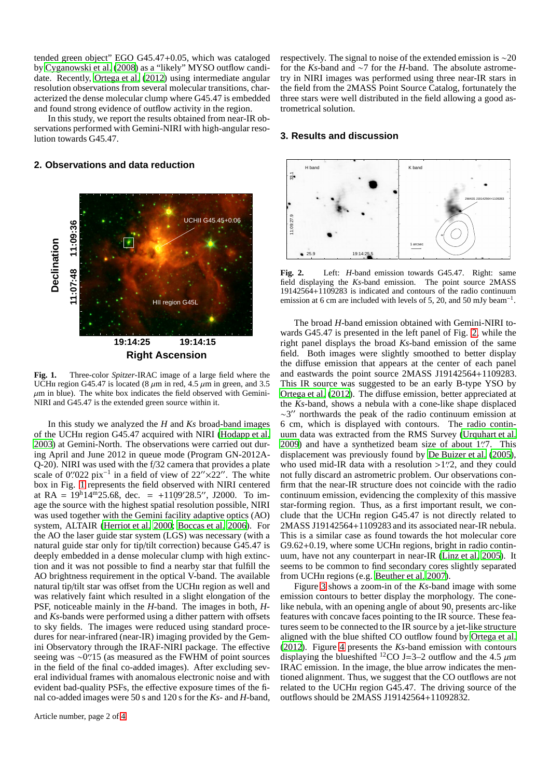tended green object" EGO G45.47+0.05, which was cataloged by [Cyganowski et al. \(2008\)](#page-3-17) as a "likely" MYSO outflow candidate. Recently, [Ortega et al.](#page-3-12) [\(2012\)](#page-3-12) using intermediate angular resolution observations from several molecular transitions, characterized the dense molecular clump where G45.47 is embedded and found strong evidence of outflow activity in the region.

In this study, we report the results obtained from near-IR observations performed with Gemini-NIRI with high-angular resolution towards G45.47.

#### **2. Observations and data reduction**



<span id="page-1-0"></span>**Fig. 1.** Three-color *Spitzer*-IRAC image of a large field where the UCHII region G45.47 is located (8  $\mu$ m in red, 4.5  $\mu$ m in green, and 3.5  $\mu$ m in blue). The white box indicates the field observed with Gemini-NIRI and G45.47 is the extended green source within it.

In this study we analyzed the *H* and *Ks* broad-band images of the UCHii region G45.47 acquired with NIRI [\(Hodapp et al.](#page-3-18) [2003\)](#page-3-18) at Gemini-North. The observations were carried out during April and June 2012 in queue mode (Program GN-2012A-Q-20). NIRI was used with the f/32 camera that provides a plate scale of 0′′.022 pix<sup>-1</sup> in a field of view of 22″ $\times$ 22″. The white box in Fig. [1](#page-1-0) represents the field observed with NIRI centered at RA =  $19^h14^{\overline{m}}25.68$ , dec. = +1109'28.5", J2000. To image the source with the highest spatial resolution possible, NIRI was used together with the Gemini facility adaptive optics (AO) system, ALTAIR [\(Herriot et al. 2000](#page-3-19); [Boccas et al. 2006\)](#page-3-20). For the AO the laser guide star system (LGS) was necessary (with a natural guide star only for tip/tilt correction) because G45.47 is deeply embedded in a dense molecular clump with high extinction and it was not possible to find a nearby star that fulfill the AO brightness requirement in the optical V-band. The available natural tip/tilt star was offset from the UCHii region as well and was relatively faint which resulted in a slight elongation of the PSF, noticeable mainly in the *H*-band. The images in both, *H*and *Ks*-bands were performed using a dither pattern with offsets to sky fields. The images were reduced using standard procedures for near-infrared (near-IR) imaging provided by the Gemini Observatory through the IRAF-NIRI package. The effective seeing was ~0".<sup>15</sup> (as measured as the FWHM of point sources in the field of the final co-added images). After excluding several individual frames with anomalous electronic noise and with evident bad-quality PSFs, the effective exposure times of the final co-added images were 50 s and 120 s for the *Ks*- and *H*-band, respectively. The signal to noise of the extended emission is ∼20 for the *Ks*-band and ∼7 for the *H*-band. The absolute astrometry in NIRI images was performed using three near-IR stars in the field from the 2MASS Point Source Catalog, fortunately the three stars were well distributed in the field allowing a good astrometrical solution.

### **3. Results and discussion**



<span id="page-1-1"></span>**Fig. 2.** Left: *H*-band emission towards G45.47. Right: same field displaying the *Ks*-band emission. The point source 2MASS 19142564+1109283 is indicated and contours of the radio continuum emission at 6 cm are included with levels of 5, 20, and 50 mJy beam<sup>-1</sup>.

The broad *H*-band emission obtained with Gemini-NIRI towards G45.47 is presented in the left panel of Fig. [2,](#page-1-1) while the right panel displays the broad *Ks*-band emission of the same field. Both images were slightly smoothed to better display the diffuse emission that appears at the center of each panel and eastwards the point source 2MASS J19142564+1109283. This IR source was suggested to be an early B-type YSO by [Ortega et al. \(2012](#page-3-12)). The diffuse emission, better appreciated at the *Ks*-band, shows a nebula with a cone-like shape displaced ∼3 ′′ northwards the peak of the radio continuum emission at 6 cm, which is displayed with contours. The radio continuum data was extracted from the RMS Survey [\(Urquhart et al.](#page-3-21) [2009\)](#page-3-21) and have a synthetized beam size of about 1'.7. This displacement was previously found by [De Buizer et al.](#page-3-22) [\(2005\)](#page-3-22), who used mid-IR data with a resolution >1"2, and they could not fully discard an astrometric problem. Our observations confirm that the near-IR structure does not coincide with the radio continuum emission, evidencing the complexity of this massive star-forming region. Thus, as a first important result, we conclude that the UCHii region G45.47 is not directly related to 2MASS J19142564+1109283 and its associated near-IR nebula. This is a similar case as found towards the hot molecular core G9.62+0.19, where some UCH<sub>II</sub> regions, bright in radio continuum, have not any counterpart in near-IR [\(Linz et al. 2005\)](#page-3-23). It seems to be common to find secondary cores slightly separated from UCH<sub>II</sub> regions (e.g. [Beuther et al. 2007\)](#page-3-24).

Figure [3](#page-2-0) shows a zoom-in of the *Ks*-band image with some emission contours to better display the morphology. The conelike nebula, with an opening angle of about 90, presents arc-like features with concave faces pointing to the IR source. These features seem to be connected to the IR source by a jet-like structure aligned with the blue shifted CO outflow found by [Ortega et al.](#page-3-12) [\(2012\)](#page-3-12). Figure [4](#page-2-1) presents the *Ks*-band emission with contours displaying the blueshifted <sup>12</sup>CO J=3–2 outflow and the 4.5  $\mu$ m IRAC emission. In the image, the blue arrow indicates the mentioned alignment. Thus, we suggest that the CO outflows are not related to the UCHii region G45.47. The driving source of the outflows should be 2MASS J19142564+11092832.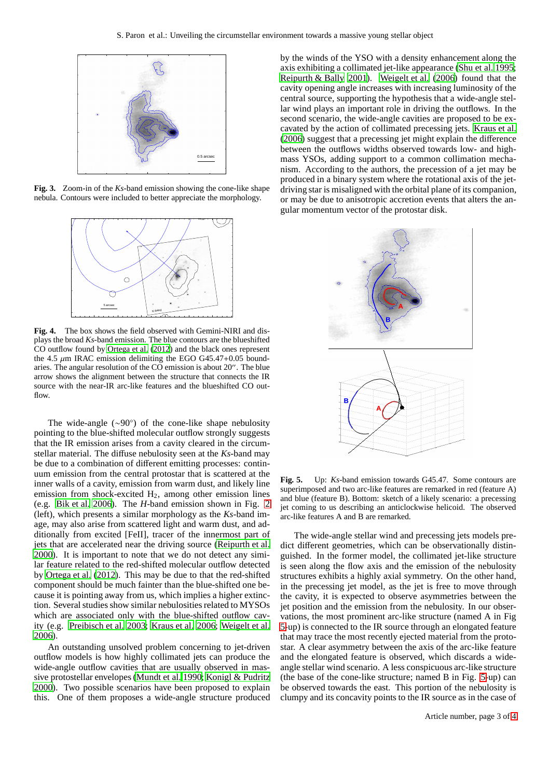

**Fig. 3.** Zoom-in of the *Ks*-band emission showing the cone-like shape nebula. Contours were included to better appreciate the morphology.

<span id="page-2-0"></span>

<span id="page-2-1"></span>**Fig. 4.** The box shows the field observed with Gemini-NIRI and displays the broad *Ks*-band emission. The blue contours are the blueshifted CO outflow found by [Ortega et al. \(2012\)](#page-3-12) and the black ones represent the 4.5  $\mu$ m IRAC emission delimiting the EGO G45.47+0.05 boundaries. The angular resolution of the CO emission is about 20′′. The blue arrow shows the alignment between the structure that connects the IR source with the near-IR arc-like features and the blueshifted CO out $flow$ 

The wide-angle (∼90◦ ) of the cone-like shape nebulosity pointing to the blue-shifted molecular outflow strongly suggests that the IR emission arises from a cavity cleared in the circumstellar material. The diffuse nebulosity seen at the *Ks*-band may be due to a combination of different emitting processes: continuum emission from the central protostar that is scattered at the inner walls of a cavity, emission from warm dust, and likely line emission from shock-excited H2, among other emission lines (e.g. [Bik et al. 2006\)](#page-3-25). The *H*-band emission shown in Fig. [2](#page-1-1) (left), which presents a similar morphology as the *Ks*-band image, may also arise from scattered light and warm dust, and additionally from excited [FeII], tracer of the innermost part of jets that are accelerated near the driving source [\(Reipurth](#page-3-26) et al. [2000\)](#page-3-26). It is important to note that we do not detect any similar feature related to the red-shifted molecular outflow detected by [Ortega et al.](#page-3-12) [\(2012\)](#page-3-12). This may be due to that the red-shifted component should be much fainter than the blue-shifted one because it is pointing away from us, which implies a higher extinction. Several studies show similar nebulosities related to MYSOs which are associated only with the blue-shifted outflow cavity (e.g. [Preibisch et al. 2003;](#page-3-5) [Kraus et al. 2006](#page-3-27); [Weigelt et](#page-3-28) al. [2006\)](#page-3-28).

An outstanding unsolved problem concerning to jet-driven outflow models is how highly collimated jets can produce the wide-angle outflow cavities that are usually observed in massive protostellar envelopes [\(Mundt et al. 1990](#page-3-29); [Konigl & Pudritz](#page-3-30) [2000\)](#page-3-30). Two possible scenarios have been proposed to explain this. One of them proposes a wide-angle structure produced by the winds of the YSO with a density enhancement along the axis exhibiting a collimated jet-like appearance [\(Shu et al. 1995;](#page-3-31) [Reipurth & Bally 2001\)](#page-3-4). [Weigelt et al.](#page-3-28) [\(2006\)](#page-3-28) found that the cavity opening angle increases with increasing luminosity of the central source, supporting the hypothesis that a wide-angle stellar wind plays an important role in driving the outflows. In the second scenario, the wide-angle cavities are proposed to be excavated by the action of collimated precessing jets. [Kraus et al.](#page-3-27) [\(2006\)](#page-3-27) suggest that a precessing jet might explain the difference between the outflows widths observed towards low- and highmass YSOs, adding support to a common collimation mechanism. According to the authors, the precession of a jet may be produced in a binary system where the rotational axis of the jetdriving star is misaligned with the orbital plane of its companion, or may be due to anisotropic accretion events that alters the angular momentum vector of the protostar disk.



<span id="page-2-2"></span>**Fig. 5.** Up: *Ks*-band emission towards G45.47. Some contours are superimposed and two arc-like features are remarked in red (feature A) and blue (feature B). Bottom: sketch of a likely scenario: a precessing jet coming to us describing an anticlockwise helicoid. The observed arc-like features A and B are remarked.

The wide-angle stellar wind and precessing jets models predict different geometries, which can be observationally distinguished. In the former model, the collimated jet-like structure is seen along the flow axis and the emission of the nebulosity structures exhibits a highly axial symmetry. On the other hand, in the precessing jet model, as the jet is free to move through the cavity, it is expected to observe asymmetries between the jet position and the emission from the nebulosity. In our observations, the most prominent arc-like structure (named A in Fig [5-](#page-2-2)up) is connected to the IR source through an elongated feature that may trace the most recently ejected material from the protostar. A clear asymmetry between the axis of the arc-like feature and the elongated feature is observed, which discards a wideangle stellar wind scenario. A less conspicuous arc-like structure (the base of the cone-like structure; named B in Fig. [5-](#page-2-2)up) can be observed towards the east. This portion of the nebulosity is clumpy and its concavity points to the IR source as in the case of